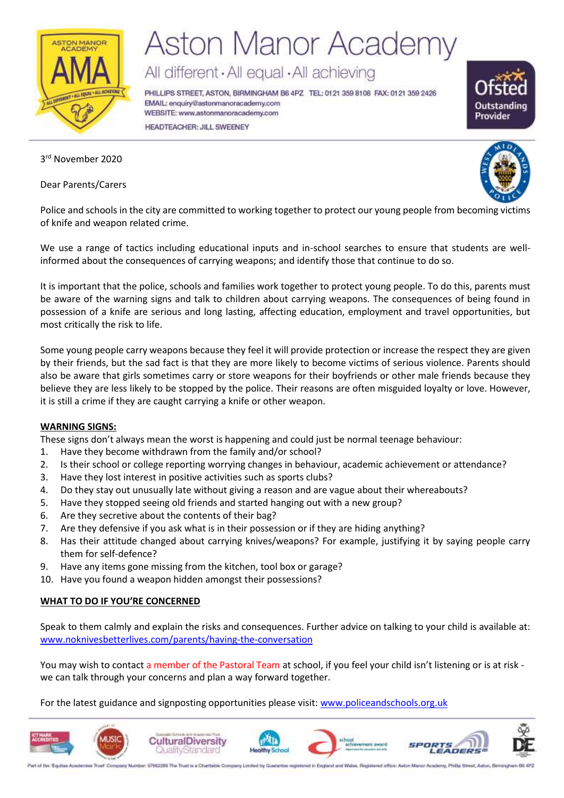

# **Aston Manor Academy**

All different · All equal · All achieving

PHILLIPS STREET, ASTON, BIRMINGHAM B6 4PZ TEL: 0121 359 8108 FAX: 0121 359 2426 EMAIL: enquiry@astonmanoracademy.com WEBSITE: www.astonmanoracademy.com HEADTEACHER: JILL SWEENEY



3 rd November 2020

Dear Parents/Carers

Police and schools in the city are committed to working together to protect our young people from becoming victims of knife and weapon related crime.

We use a range of tactics including educational inputs and in-school searches to ensure that students are wellinformed about the consequences of carrying weapons; and identify those that continue to do so.

It is important that the police, schools and families work together to protect young people. To do this, parents must be aware of the warning signs and talk to children about carrying weapons. The consequences of being found in possession of a knife are serious and long lasting, affecting education, employment and travel opportunities, but most critically the risk to life.

Some young people carry weapons because they feel it will provide protection or increase the respect they are given by their friends, but the sad fact is that they are more likely to become victims of serious violence. Parents should also be aware that girls sometimes carry or store weapons for their boyfriends or other male friends because they believe they are less likely to be stopped by the police. Their reasons are often misguided loyalty or love. However, it is still a crime if they are caught carrying a knife or other weapon.

### **WARNING SIGNS:**

These signs don't always mean the worst is happening and could just be normal teenage behaviour:

- 1. Have they become withdrawn from the family and/or school?
- 2. Is their school or college reporting worrying changes in behaviour, academic achievement or attendance?
- 3. Have they lost interest in positive activities such as sports clubs?
- 4. Do they stay out unusually late without giving a reason and are vague about their whereabouts?
- 5. Have they stopped seeing old friends and started hanging out with a new group?
- 6. Are they secretive about the contents of their bag?
- 7. Are they defensive if you ask what is in their possession or if they are hiding anything?
- 8. Has their attitude changed about carrying knives/weapons? For example, justifying it by saying people carry them for self-defence?
- 9. Have any items gone missing from the kitchen, tool box or garage?
- 10. Have you found a weapon hidden amongst their possessions?

### **WHAT TO DO IF YOU'RE CONCERNED**

Speak to them calmly and explain the risks and consequences. Further advice on talking to your child is available at: [www.noknivesbetterlives.com/parents/having-the-conversation](http://www.noknivesbetterlives.com/parents/having-the-conversation)

You may wish to contact a member of the Pastoral Team at school, if you feel your child isn't listening or is at risk we can talk through your concerns and plan a way forward together.

For the latest guidance and signposting opportunities please visit: [www.policeandschools.org.uk](http://www.policeandschools.org.uk/)



Part of the 'Equitas Academies Trust' Company Number: 07662289 The Trust is a Charitable Company Lin d office: Aston Manor Academy, Philip Street, Aston, Berningham B6 4P. teer rwgs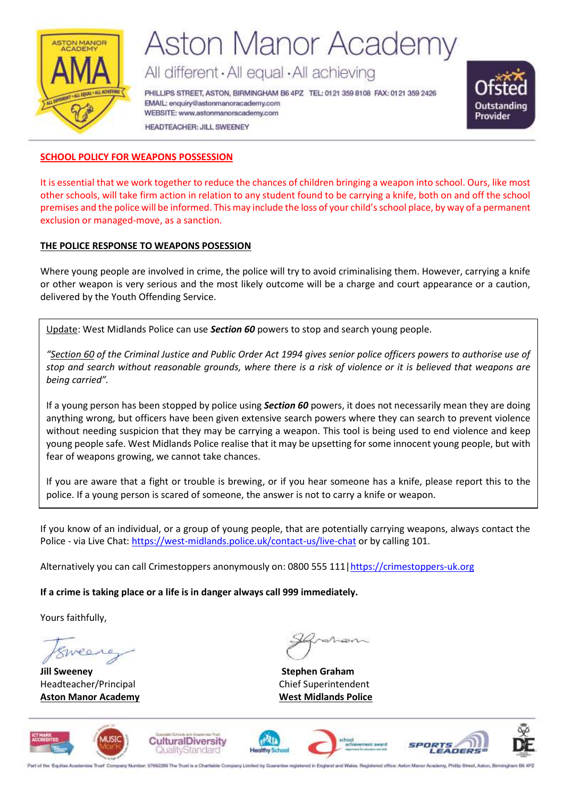

## **Aston Manor Academy**

All different · All equal · All achieving

PHILLIPS STREET, ASTON, BIRMINGHAM B6 4PZ TEL: 0121 359 8108 FAX: 0121 359 2426 EMAIL: enquiry@astonmanoracademy.com WEBSITE: www.astonmanoracademy.com HEADTEACHER: JILL SWEENEY



#### **SCHOOL POLICY FOR WEAPONS POSSESSION**

It is essential that we work together to reduce the chances of children bringing a weapon into school. Ours, like most other schools, will take firm action in relation to any student found to be carrying a knife, both on and off the school premises and the police will be informed. This may include the loss of your child's school place, by way of a permanent exclusion or managed-move, as a sanction.

#### **THE POLICE RESPONSE TO WEAPONS POSESSION**

Where young people are involved in crime, the police will try to avoid criminalising them. However, carrying a knife or other weapon is very serious and the most likely outcome will be a charge and court appearance or a caution, delivered by the Youth Offending Service.

Update: West Midlands Police can use *Section 60* powers to stop and search young people.

*"[Section 60](http://www.legislation.gov.uk/ukpga/1994/33/section/60) of the Criminal Justice and Public Order Act 1994 gives senior police officers powers to authorise use of stop and search without reasonable grounds, where there is a risk of violence or it is believed that weapons are being carried".*

If a young person has been stopped by police using *Section 60* powers, it does not necessarily mean they are doing anything wrong, but officers have been given extensive search powers where they can search to prevent violence without needing suspicion that they may be carrying a weapon. This tool is being used to end violence and keep young people safe. West Midlands Police realise that it may be upsetting for some innocent young people, but with fear of weapons growing, we cannot take chances.

If you are aware that a fight or trouble is brewing, or if you hear someone has a knife, please report this to the police. If a young person is scared of someone, the answer is not to carry a knife or weapon.

If you know of an individual, or a group of young people, that are potentially carrying weapons, always contact the Police - via Live Chat:<https://west-midlands.police.uk/contact-us/live-chat> or by calling 101.

Alternatively you can call Crimestoppers anonymously on: 0800 555 111[|https://crimestoppers-uk.org](https://crimestoppers-uk.org/)

#### **If a crime is taking place or a life is in danger always call 999 immediately.**

Yours faithfully,

**Jill Sweeney Stephen Graham** Headteacher/Principal Chief Superintendent **Aston Manor Academy**  West Midlands Police













Part of the 'Equitas Academies Trust' Company Number: 07662289 The Trust is a Charitable Company Li d office: Aston Manor Academy, Philip Street, Aston, Berningha